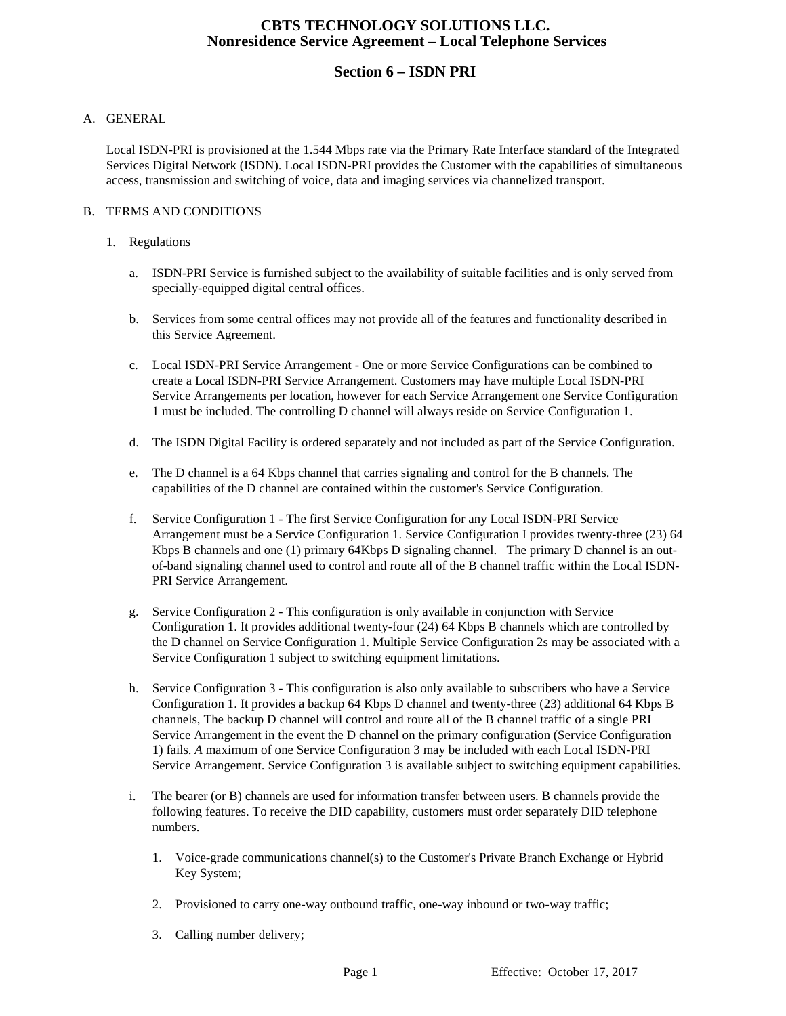# **CBTS TECHNOLOGY SOLUTIONS LLC. Nonresidence Service Agreement – Local Telephone Services**

# **Section 6 – ISDN PRI**

### A. GENERAL

Local ISDN-PRI is provisioned at the 1.544 Mbps rate via the Primary Rate Interface standard of the Integrated Services Digital Network (ISDN). Local ISDN-PRI provides the Customer with the capabilities of simultaneous access, transmission and switching of voice, data and imaging services via channelized transport.

### B. TERMS AND CONDITIONS

#### 1. Regulations

- a. ISDN-PRI Service is furnished subject to the availability of suitable facilities and is only served from specially-equipped digital central offices.
- b. Services from some central offices may not provide all of the features and functionality described in this Service Agreement.
- c. Local ISDN-PRI Service Arrangement One or more Service Configurations can be combined to create a Local ISDN-PRI Service Arrangement. Customers may have multiple Local ISDN-PRI Service Arrangements per location, however for each Service Arrangement one Service Configuration 1 must be included. The controlling D channel will always reside on Service Configuration 1.
- d. The ISDN Digital Facility is ordered separately and not included as part of the Service Configuration.
- e. The D channel is a 64 Kbps channel that carries signaling and control for the B channels. The capabilities of the D channel are contained within the customer's Service Configuration.
- f. Service Configuration 1 The first Service Configuration for any Local ISDN-PRI Service Arrangement must be a Service Configuration 1. Service Configuration I provides twenty-three (23) 64 Kbps B channels and one (1) primary 64Kbps D signaling channel. The primary D channel is an outof-band signaling channel used to control and route all of the B channel traffic within the Local ISDN-PRI Service Arrangement.
- g. Service Configuration 2 This configuration is only available in conjunction with Service Configuration 1. It provides additional twenty-four (24) 64 Kbps B channels which are controlled by the D channel on Service Configuration 1. Multiple Service Configuration 2s may be associated with a Service Configuration 1 subject to switching equipment limitations.
- h. Service Configuration 3 This configuration is also only available to subscribers who have a Service Configuration 1. It provides a backup 64 Kbps D channel and twenty-three (23) additional 64 Kbps B channels, The backup D channel will control and route all of the B channel traffic of a single PRI Service Arrangement in the event the D channel on the primary configuration (Service Configuration 1) fails. *A* maximum of one Service Configuration 3 may be included with each Local ISDN-PRI Service Arrangement. Service Configuration 3 is available subject to switching equipment capabilities.
- i. The bearer (or B) channels are used for information transfer between users. B channels provide the following features. To receive the DID capability, customers must order separately DID telephone numbers.
	- 1. Voice-grade communications channel(s) to the Customer's Private Branch Exchange or Hybrid Key System;
	- 2. Provisioned to carry one-way outbound traffic, one-way inbound or two-way traffic;
	- 3. Calling number delivery;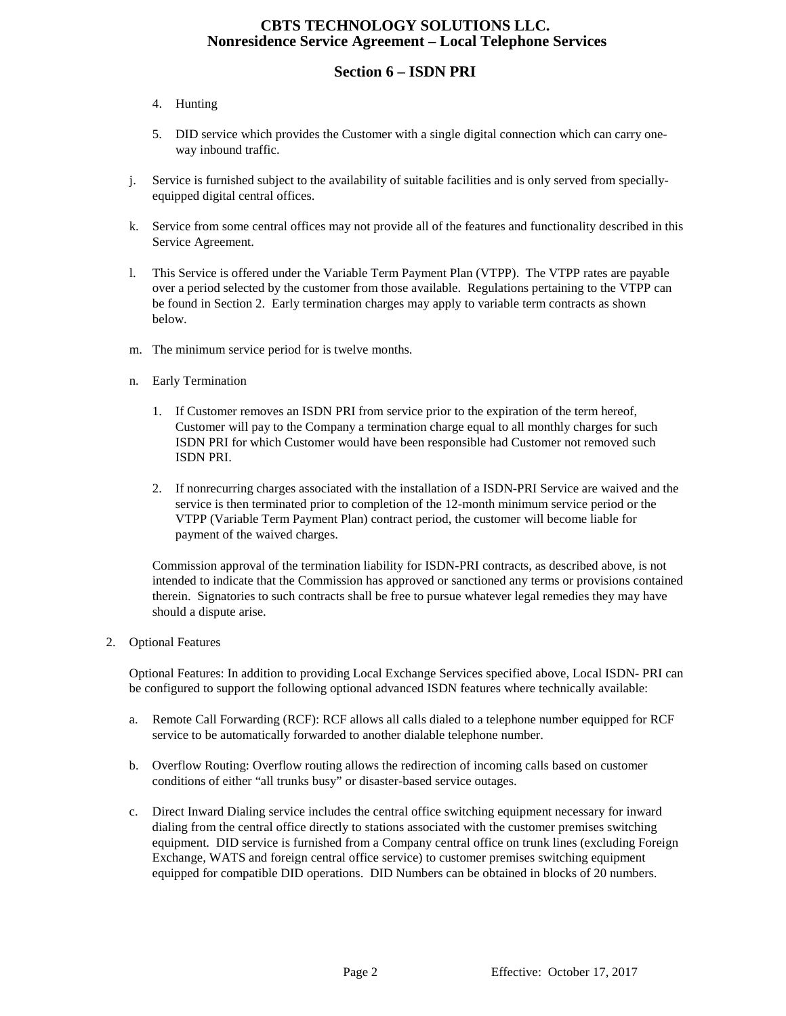# **CBTS TECHNOLOGY SOLUTIONS LLC. Nonresidence Service Agreement – Local Telephone Services**

# **Section 6 – ISDN PRI**

## 4. Hunting

- 5. DID service which provides the Customer with a single digital connection which can carry oneway inbound traffic.
- j. Service is furnished subject to the availability of suitable facilities and is only served from speciallyequipped digital central offices.
- k. Service from some central offices may not provide all of the features and functionality described in this Service Agreement.
- l. This Service is offered under the Variable Term Payment Plan (VTPP). The VTPP rates are payable over a period selected by the customer from those available. Regulations pertaining to the VTPP can be found in Section 2. Early termination charges may apply to variable term contracts as shown below.
- m. The minimum service period for is twelve months.
- n. Early Termination
	- 1. If Customer removes an ISDN PRI from service prior to the expiration of the term hereof, Customer will pay to the Company a termination charge equal to all monthly charges for such ISDN PRI for which Customer would have been responsible had Customer not removed such ISDN PRI.
	- 2. If nonrecurring charges associated with the installation of a ISDN-PRI Service are waived and the service is then terminated prior to completion of the 12-month minimum service period or the VTPP (Variable Term Payment Plan) contract period, the customer will become liable for payment of the waived charges.

Commission approval of the termination liability for ISDN-PRI contracts, as described above, is not intended to indicate that the Commission has approved or sanctioned any terms or provisions contained therein. Signatories to such contracts shall be free to pursue whatever legal remedies they may have should a dispute arise.

#### 2. Optional Features

Optional Features: In addition to providing Local Exchange Services specified above, Local ISDN- PRI can be configured to support the following optional advanced ISDN features where technically available:

- a. Remote Call Forwarding (RCF): RCF allows all calls dialed to a telephone number equipped for RCF service to be automatically forwarded to another dialable telephone number.
- b. Overflow Routing: Overflow routing allows the redirection of incoming calls based on customer conditions of either "all trunks busy" or disaster-based service outages.
- c. Direct Inward Dialing service includes the central office switching equipment necessary for inward dialing from the central office directly to stations associated with the customer premises switching equipment. DID service is furnished from a Company central office on trunk lines (excluding Foreign Exchange, WATS and foreign central office service) to customer premises switching equipment equipped for compatible DID operations. DID Numbers can be obtained in blocks of 20 numbers.